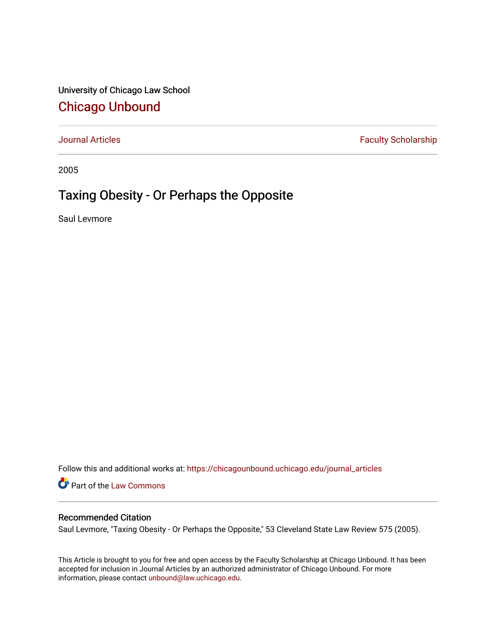University of Chicago Law School [Chicago Unbound](https://chicagounbound.uchicago.edu/)

[Journal Articles](https://chicagounbound.uchicago.edu/journal_articles) **Faculty Scholarship Faculty Scholarship** 

2005

## Taxing Obesity - Or Perhaps the Opposite

Saul Levmore

Follow this and additional works at: [https://chicagounbound.uchicago.edu/journal\\_articles](https://chicagounbound.uchicago.edu/journal_articles?utm_source=chicagounbound.uchicago.edu%2Fjournal_articles%2F1591&utm_medium=PDF&utm_campaign=PDFCoverPages) 

Part of the [Law Commons](http://network.bepress.com/hgg/discipline/578?utm_source=chicagounbound.uchicago.edu%2Fjournal_articles%2F1591&utm_medium=PDF&utm_campaign=PDFCoverPages)

## Recommended Citation

Saul Levmore, "Taxing Obesity - Or Perhaps the Opposite," 53 Cleveland State Law Review 575 (2005).

This Article is brought to you for free and open access by the Faculty Scholarship at Chicago Unbound. It has been accepted for inclusion in Journal Articles by an authorized administrator of Chicago Unbound. For more information, please contact [unbound@law.uchicago.edu](mailto:unbound@law.uchicago.edu).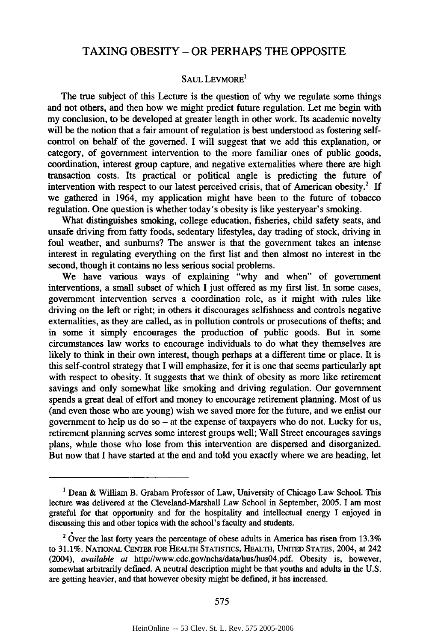## TAXING OBESITY - OR PERHAPS THE OPPOSITE

## SAUL LEVMORE'

The true subject of this Lecture is the question of why we regulate some things and not others, and then how we might predict future regulation. Let me begin with my conclusion, to be developed at greater length in other work. Its academic novelty will be the notion that a fair amount of regulation is best understood as fostering selfcontrol on behalf of the governed. I will suggest that we add this explanation, or category, of government intervention to the more familiar ones of public goods, coordination, interest group capture, and negative externalities where there are high transaction costs. Its practical or political angle is predicting the future of intervention with respect to our latest perceived crisis, that of American obesity.<sup>2</sup> If we gathered in 1964, my application might have been to the future of tobacco regulation. One question is whether today's obesity is like yesteryear's smoking.

What distinguishes smoking, college education, fisheries, child safety seats, and unsafe driving from fatty foods, sedentary lifestyles, day trading of stock, driving in foul weather, and sunburns? The answer is that the government takes an intense interest in regulating everything on the first list and then almost no interest in the second, though it contains no less serious social problems.

We have various ways of explaining "why and when" of government interventions, a small subset of which I just offered as my first list. In some cases, government intervention serves a coordination role, as it might with rules like driving on the left or right; in others it discourages selfishness and controls negative externalities, as they are called, as in pollution controls or prosecutions of thefts; and in some it simply encourages the production of public goods. But in some circumstances law works to encourage individuals to do what they themselves are likely to think in their own interest, though perhaps at a different time or place. It is this self-control strategy that I will emphasize, for it is one that seems particularly apt with respect to obesity. It suggests that we think of obesity as more like retirement savings and only somewhat like smoking and driving regulation. Our government spends a great deal of effort and money to encourage retirement planning. Most of us (and even those who are young) wish we saved more for the future, and we enlist our government to help us do so  $-$  at the expense of taxpayers who do not. Lucky for us, retirement planning serves some interest groups well; Wall Street encourages savings plans, while those who lose from this intervention are dispersed and disorganized. But now that I have started at the end and told you exactly where we are heading, let

**<sup>1</sup>** Dean & William B. Graham Professor of Law, University of Chicago Law School. This lecture was delivered at the Cleveland-Marshall Law School in September, 2005. I am most grateful for that opportunity and for the hospitality and intellectual energy I enjoyed in discussing this and other topics with the school's faculty and students.

 $2\text{ O}$  ver the last forty years the percentage of obese adults in America has risen from 13.3% to 31.1%. NATIONAL CENTER FOR HEALTH STATISTICS, HEALTH, UNITED STATES, 2004, at 242 (2004), *available at* http://www.cdc.gov/nchs/data/hus/hus04.pdf. Obesity is, however, somewhat arbitrarily defined. A neutral description might be that youths and adults in the U.S. are getting heavier, and that however obesity might be defined, it has increased.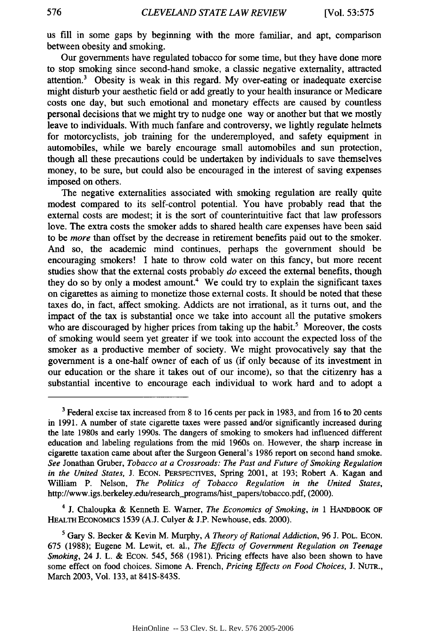us fill in some gaps by beginning with the more familiar, and apt, comparison between obesity and smoking.

Our governments have regulated tobacco for some time, but they have done more to stop smoking since second-hand smoke, a classic negative externality, attracted attention. 3 Obesity is weak in this regard. My over-eating or inadequate exercise might disturb your aesthetic field or add greatly to your health insurance or Medicare costs one day, but such emotional and monetary effects are caused by countless personal decisions that we might try to nudge one way or another but that we mostly leave to individuals. With much fanfare and controversy, we lightly regulate helmets for motorcyclists, job training for the underemployed, and safety equipment in automobiles, while we barely encourage small automobiles and sun protection, though all these precautions could be undertaken by individuals to save themselves money, to be sure, but could also be encouraged in the interest of saving expenses imposed on others.

The negative externalities associated with smoking regulation are really quite modest compared to its self-control potential. You have probably read that the external costs are modest; it is the sort of counterintuitive fact that law professors love. The extra costs the smoker adds to shared health care expenses have been said to be *more* than offset by the decrease in retirement benefits paid out to the smoker. And so, the academic mind continues, perhaps the government should be encouraging smokers! I hate to throw cold water on this fancy, but more recent studies show that the external costs probably *do* exceed the external benefits, though they do so by only a modest amount.<sup>4</sup> We could try to explain the significant taxes on cigarettes as aiming to monetize those external costs. It should be noted that these taxes do, in fact, affect smoking. Addicts are not irrational, as it turns out, and the impact of the tax is substantial once we take into account all the putative smokers who are discouraged by higher prices from taking up the habit.<sup>5</sup> Moreover, the costs of smoking would seem yet greater if we took into account the expected loss of the smoker as a productive member of society. We might provocatively say that the government is a one-half owner of each of us (if only because of its investment in our education or the share it takes out of our income), so that the citizenry has a substantial incentive to encourage each individual to work hard and to adopt a

<sup>4</sup>**j.** Chaloupka & Kenneth E. Warner, *The Economics of Smoking, in* 1 HANDBOOK OF HEALTH ECONOMICS 1539 (A.J. Culyer & J.P. Newhouse, eds. 2000).

**<sup>3</sup>** Federal excise tax increased from 8 to 16 cents per pack in 1983, and from 16 to 20 cents in 1991. A number of state cigarette taxes were passed and/or significantly increased during the late 1980s and early 1990s. The dangers of smoking to smokers had influenced different education and labeling regulations from the mid 1960s on. However, the sharp increase in cigarette taxation came about after the Surgeon General's 1986 report on second hand smoke. *See* Jonathan Gruber, *Tobacco at a Crossroads: The Past and Future of Smoking Regulation in the United States, J. ECON. PERSPECTIVES, Spring 2001, at 193; Robert A. Kagan and* William P. Nelson, *The Politics of Tobacco Regulation in the United States,* http://www.igs.berkeley.edu/research\_programs/hist\_papers/tobacco.pdf, (2000).

*<sup>5</sup>* Gary S. Becker & Kevin M. Murphy, *A Theory of Rational Addiction,* 96 J. POL. **ECON.** 675 (1988); Eugene M. Lewit, et. al., *The Effects of Government Regulation on Teenage Smoking,* 24 J. L. & ECON. 545, 568 (1981). Pricing effects have also been shown to have some effect on food choices. Simone A. French, *Pricing Effects on Food Choices,* J. NUTR., March 2003, Vol. 133, at 841S-843S.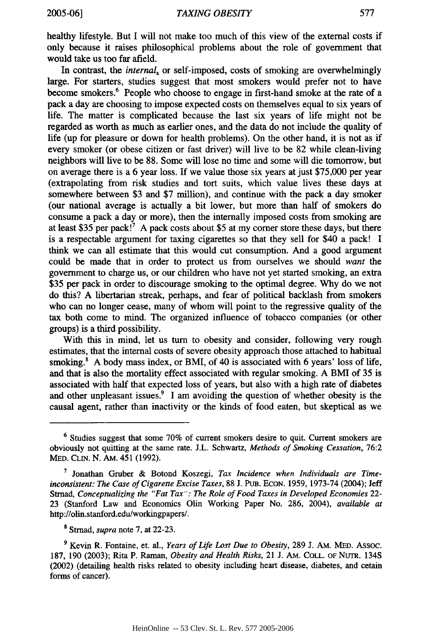healthy lifestyle. But I will not make too much of this view of the external costs if only because it raises philosophical problems about the role of government that would take us too far afield.

In contrast, the *internal,* or self-imposed, costs of smoking are overwhelmingly large. For starters, studies suggest that most smokers would prefer not to have become smokers.<sup>6</sup> People who choose to engage in first-hand smoke at the rate of a pack a day are choosing to impose expected costs on themselves equal to six years of life. The matter is complicated because the last six years of life might not be regarded as worth as much as earlier ones, and the data do not include the quality of life (up for pleasure or down for health problems). On the other hand, it is not as if every smoker (or obese citizen or fast driver) will live to be 82 while clean-living neighbors will live to be 88. Some will lose no time and some will die tomorrow, but on average there is a 6 year loss. If we value those six years at just \$75,000 per year (extrapolating from risk studies and tort suits, which value lives these days at somewhere between \$3 and \$7 million), and continue with the pack a day smoker (our national average is actually a bit lower, but more than half of smokers do consume a pack a day or more), then the internally imposed costs from smoking are at least \$35 per pack!<sup>7</sup> A pack costs about \$5 at my corner store these days, but there is a respectable argument for taxing cigarettes so that they sell for \$40 a pack! I think we can all estimate that this would cut consumption. And a good argument could be made that in order to protect us from ourselves we should *want* the government to charge us, or our children who have not yet started smoking, an extra \$35 per pack in order to discourage smoking to the optimal degree. Why do we not do this? A libertarian streak, perhaps, and fear of political backlash from smokers who can no longer cease, many of whom will point to the regressive quality of the tax both come to mind. The organized influence of tobacco companies (or other groups) is a third possibility.

With this in mind, let us turn to obesity and consider, following very rough estimates, that the internal costs of severe obesity approach those attached to habitual smoking. $8$  A body mass index, or BMI, of 40 is associated with 6 years' loss of life, and that is also the mortality effect associated with regular smoking. A BMI of 35 is associated with half that expected loss of years, but also with a high rate of diabetes and other unpleasant issues.<sup>9</sup> I am avoiding the question of whether obesity is the causal agent, rather than inactivity or the kinds of food eaten, but skeptical as we

<sup>6</sup> Studies suggest that some 70% of current smokers desire to quit. Current smokers are obviously not quitting at the same rate. J.L. Schwartz, *Methods of Smoking Cessation,* 76:2 MED. **CLIN.** N. AM. 451 (1992).

**<sup>7</sup>** Jonathan Gruber & Botond Koszegi, *Tax Incidence when Individuals are Timeinconsistent: The Case of Cigarette Excise Taxes,* 88 J. PuB. EcON. 1959, 1973-74 (2004); Jeff Stmad, *Conceptualizing the "Fat Tax": The Role of Food Taxes in Developed Economies* 22- 23 (Stanford Law and Economics Olin Working Paper No. 286, 2004), *available at* http://olin.stanford.edu/workingpapers/.

**<sup>8</sup>** Stmad, *supra* note 7, at 22-23.

**<sup>9</sup>** Kevin R. Fontaine, et. al., *Years of Life Lost Due to Obesity,* 289 **J.** AM. MED. Assoc. 187, 190 (2003); Rita P. Raman, *Obesity and Health Risks,* 21 J. AM. **COLL.** OF NUTR. 134S (2002) (detailing health risks related to obesity including heart disease, diabetes, and cetain forms of cancer).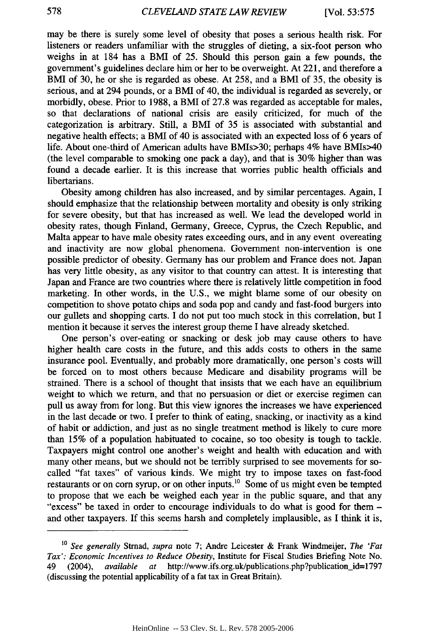may be there is surely some level of obesity that poses a serious health risk. For listeners or readers unfamiliar with the struggles of dieting, a six-foot person who weighs in at 184 has a BMI of 25. Should this person gain a few pounds, the government's guidelines declare him or her to be overweight. At 221, and therefore a BMI of 30, he or she is regarded as obese. At 258, and a BMI of 35, the obesity is serious, and at 294 pounds, or a BMI of 40, the individual is regarded as severely, or morbidly, obese. Prior to 1988, a BMI of 27.8 was regarded as acceptable for males, so that declarations of national crisis are easily criticized, for much of the categorization is arbitrary. Still, a BMI of 35 is associated with substantial and negative health effects; a BMI of 40 is associated with an expected loss of 6 years of life. About one-third of American adults have BMIs>30; perhaps 4% have BMIs>40 (the level comparable to smoking one pack a day), and that is 30% higher than was found a decade earlier. It is this increase that worries public health officials and libertarians.

Obesity among children has also increased, and by similar percentages. Again, I should emphasize that the relationship between mortality and obesity is only striking for severe obesity, but that has increased as well. We lead the developed world in obesity rates, though Finland, Germany, Greece, Cyprus, the Czech Republic, and Malta appear to have male obesity rates exceeding ours, and in any event overeating and inactivity are now global phenomena. Government non-intervention is one possible predictor of obesity. Germany has our problem and France does not. Japan has very little obesity, as any visitor to that country can attest. It is interesting that Japan and France are two countries where there is relatively little competition in food marketing. In other words, in the U.S., we might blame some of our obesity on competition to shove potato chips and soda pop and candy and fast-food burgers into our gullets and shopping carts. I do not put too much stock in this correlation, but I mention it because it serves the interest group theme I have already sketched.

One person's over-eating or snacking or desk job may cause others to have higher health care costs in the future, and this adds costs to others in the same insurance pool. Eventually, and probably more dramatically, one person's costs will be forced on to most others because Medicare and disability programs will be strained. There is a school of thought that insists that we each have an equilibrium weight to which we return, and that no persuasion or diet or exercise regimen can pull us away from for long. But this view ignores the increases we have experienced in the last decade or two. I prefer to think of eating, snacking, or inactivity as a kind of habit or addiction, and just as no single treatment method is likely to cure more than 15% of a population habituated to cocaine, so too obesity is tough to tackle. Taxpayers might control one another's weight and health with education and with many other means, but we should not be terribly surprised to see movements for socalled "fat taxes" of various kinds. We might try to impose taxes on fast-food restaurants or on corn syrup, or on other inputs.<sup>10</sup> Some of us might even be tempted to propose that we each be weighed each year in the public square, and that any "excess" be taxed in order to encourage individuals to do what is good for them and other taxpayers. If this seems harsh and completely implausible, as I think it is,

*<sup>10</sup> See generally* Strnad, *supra* note 7; Andre Leicester & Frank Windmeijer, *The 'Fat Tax': Economic Incentives to Reduce Obesity,* Institute for Fiscal Studies Briefing Note No. 49 (2004), *available at* http://www.ifs.org.uk/publications.php?publication\_id=1797 (discussing the potential applicability of a fat tax in Great Britain).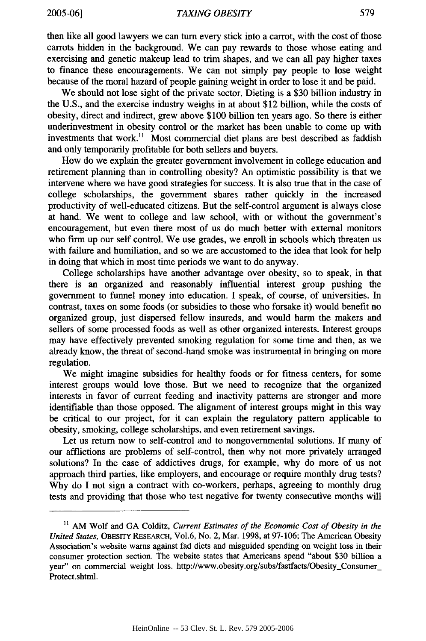then like all good lawyers we can turn every stick into a carrot, with the cost of those carrots hidden in the background. We can pay rewards to those whose eating and exercising and genetic makeup lead to trim shapes, and we can all pay higher taxes to finance these encouragements. We can not simply pay people to lose weight because of the moral hazard of people gaining weight in order to lose it and be paid.

We should not lose sight of the private sector. Dieting is a \$30 billion industry in the U.S., and the exercise industry weighs in at about \$12 billion, while the costs of obesity, direct and indirect, grew above \$100 billion ten years ago. So there is either underinvestment in obesity control or the market has been unable to come up with investments that work.<sup>11</sup> Most commercial diet plans are best described as faddish and only temporarily profitable for both sellers and buyers.

How do we explain the greater government involvement in college education and retirement planning than in controlling obesity? An optimistic possibility is that we intervene where we have good strategies for success. It is also true that in the case of college scholarships, the government shares rather quickly in the increased productivity of well-educated citizens. But the self-control argument is always close at hand. We went to college and law school, with or without the government's encouragement, but even there most of us do much better with external monitors who firm up our self control. We use grades, we enroll in schools which threaten us with failure and humiliation, and so we are accustomed to the idea that look for help in doing that which in most time periods we want to do anyway.

College scholarships have another advantage over obesity, so to speak, in that there is an organized and reasonably influential interest group pushing the government to funnel money into education. I speak, of course, of universities. In contrast, taxes on some foods (or subsidies to those who forsake it) would benefit no organized group, just dispersed fellow insureds, and would harm the makers and sellers of some processed foods as well as other organized interests. Interest groups may have effectively prevented smoking regulation for some time and then, as we already know, the threat of second-hand smoke was instrumental in bringing on more regulation.

We might imagine subsidies for healthy foods or for fitness centers, for some interest groups would love those. But we need to recognize that the organized interests in favor of current feeding and inactivity patterns are stronger and more identifiable than those opposed. The alignment of interest groups might in this way be critical to our project, for it can explain the regulatory pattern applicable to obesity, smoking, college scholarships, and even retirement savings.

Let us return now to self-control and to nongovernmental solutions. If many of our afflictions are problems of self-control, then why not more privately arranged solutions? In the case of addictives drugs, for example, why do more of us not approach third parties, like employers, and encourage or require monthly drug tests? Why do I not sign a contract with co-workers, perhaps, agreeing to monthly drug tests and providing that those who test negative for twenty consecutive months will

**<sup>11</sup>** AM Wolf and GA Colditz, *Current Estimates of the Economic Cost of Obesity in the United States,* OBEsrrY RESEARCH, Vol.6, No. 2, Mar. 1998, at 97-106; The American Obesity Association's website warns against fad diets and misguided spending on weight loss in their consumer protection section. The website states that Americans spend "about \$30 billion a year" on commercial weight loss. http://www.obesity.org/subs/fastfacts/Obesity\_Consumer\_ Protect.shtml.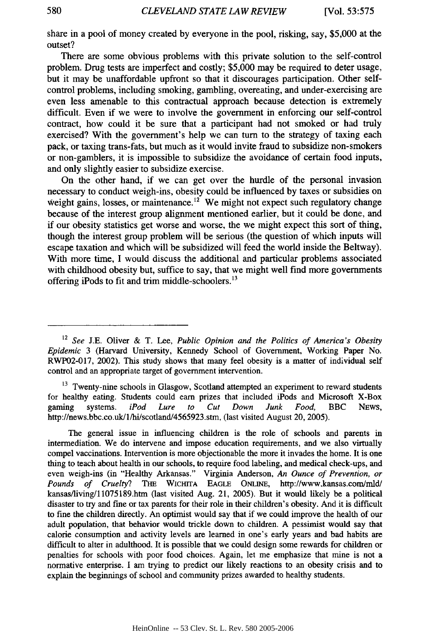share in a pool of money created **by** everyone in the pool, risking, say, **\$5,000** at the outset?

There are some obvious problems with this private solution to the self-control problem. Drug tests are imperfect and costly; **\$5,000** may be required to deter usage, but it may be unaffordable upfront so that it discourages participation. Other selfcontrol problems, including smoking, gambling, overeating, and under-exercising are even less amenable to this contractual approach because detection is extremely difficult. Even if we were to involve the government in enforcing our self-control contract, how could it be sure that a participant had not smoked or had truly exercised? With the government's help we can turn to the strategy of taxing each pack, or taxing trans-fats, but much as it would invite fraud to subsidize non-smokers or non-gamblers, it is impossible to subsidize the avoidance of certain food inputs, and only slightly easier to subsidize exercise.

On the other hand, if we can get over the hurdle of the personal invasion necessary to conduct weigh-ins, obesity could be influenced **by** taxes or subsidies on weight gains, losses, or maintenance.<sup> $12$ </sup> We might not expect such regulatory change because of the interest group alignment mentioned earlier, but it could be done, and if our obesity statistics get worse and worse, the we might expect this sort of thing, though the interest group problem will be serious (the question of which inputs will escape taxation and which will be subsidized will feed the world inside the Beltway). With more time, **I** would discuss the additional and particular problems associated with childhood obesity but, suffice to say, that we might well find more governments offering iPods to fit and trim middle-schoolers.<sup>13</sup>

<sup>13</sup> Twenty-nine schools in Glasgow, Scotland attempted an experiment to reward students for healthy eating. Students could earn prizes that included iPods and Microsoft X-Box gaming systems. *iPod Lure to Cut Down Junk Food,* BBC **NEWS,** http://news.bbc.co.uk/l/hi/scotland/4565923.stm, (last visited August 20, **2005).**

The general issue in influencing children is the role of schools and parents in intermediation. We do intervene and impose education requirements, and we also virtually compel vaccinations. Intervention is more objectionable the more it invades the home. It is one thing to teach about health in our schools, to require food labeling, and medical check-ups, and even weigh-ins (in "Healthy Arkansas." Virginia Anderson, *An Ounce of Prevention, or Pounds of Cruelty?* **THE WICHITA EAGLE ONLINE,** http://www.kansas.conimld/ kansas/living/11075189.htm (last visited Aug. 21, **2005).** But it would likely be a political disaster to try and fine or tax parents for their role in their children's obesity. And it is difficult to fine the children directly. An optimist would say that if we could improve the health of our adult population, that behavior would trickle down to children. **A** pessimist would say that calorie consumption and activity levels are learned in one's early years and bad habits are difficult to alter in adulthood. It is possible that we could design some rewards for children or penalties for schools with poor food choices. Again, let me emphasize that mine is not a normative enterprise. **I** am trying to predict our likely reactions to an obesity crisis and to explain the beginnings of school and community prizes awarded to healthy students.

<sup>12</sup>*See* **J.E.** Oliver **&** T. Lee, *Public Opinion and the Politics of America's Obesity Epidemic* **3** (Harvard University, Kennedy School of Government, Working Paper No. RWP02-017, 2002). This study shows that many feel obesity is a matter of individual self control and an appropriate target of government intervention.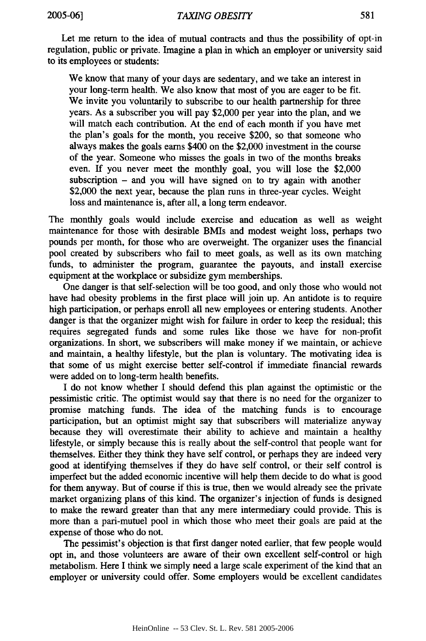Let me return to the idea of mutual contracts and thus the possibility of opt-in regulation, public or private. Imagine a plan in which an employer or university said to its employees or students:

We know that many of your days are sedentary, and we take an interest in your long-term health. We also know that most of you are eager to be fit. We invite you voluntarily to subscribe to our health partnership for three years. As a subscriber you will pay \$2,000 per year into the plan, and we will match each contribution. At the end of each month if you have met the plan's goals for the month, you receive \$200, so that someone who always makes the goals earns \$400 on the \$2,000 investment in the course of the year. Someone who misses the goals in two of the months breaks even. If you never meet the monthly goal, you will lose the \$2,000 subscription  $-$  and you will have signed on to try again with another \$2,000 the next year, because the plan runs in three-year cycles. Weight loss and maintenance is, after all, a long term endeavor.

The monthly goals would include exercise and education as well as weight maintenance for those with desirable BMIs and modest weight loss, perhaps two pounds per month, for those who are overweight. The organizer uses the financial pool created by subscribers who fail to meet goals, as well as its own matching funds, to administer the program, guarantee the payouts, and install exercise equipment at the workplace or subsidize gym memberships.

One danger is that self-selection will be too good, and only those who would not have had obesity problems in the first place will join up. An antidote is to require high participation, or perhaps enroll all new employees or entering students. Another danger is that the organizer might wish for failure in order to keep the residual; this requires segregated funds and some rules like those we have for non-profit organizations. In short, we subscribers will make money if we maintain, or achieve and maintain, a healthy lifestyle, but the plan is voluntary. The motivating idea is that some of us might exercise better self-control if immediate financial rewards were added on to long-term health benefits.

I do not know whether I should defend this plan against the optimistic or the pessimistic critic. The optimist would say that there is no need for the organizer to promise matching funds. The idea of the matching funds is to encourage participation, but an optimist might say that subscribers will materialize anyway because they will overestimate their ability to achieve and maintain a healthy lifestyle, or simply because this is really about the self-control that people want for themselves. Either they think they have self control, or perhaps they are indeed very good at identifying themselves if they do have self control, or their self control is imperfect but the added economic incentive will help them decide to do what is good for them anyway. But of course if this is true, then we would already see the private market organizing plans of this kind. The organizer's injection of funds is designed to make the reward greater than that any mere intermediary could provide. This is more than a pari-mutuel pool in which those who meet their goals are paid at the expense of those who do not.

The pessimist's objection is that first danger noted earlier, that few people would opt in, and those volunteers are aware of their own excellent self-control or high metabolism. Here I think we simply need a large scale experiment of the kind that an employer or university could offer. Some employers would be excellent candidates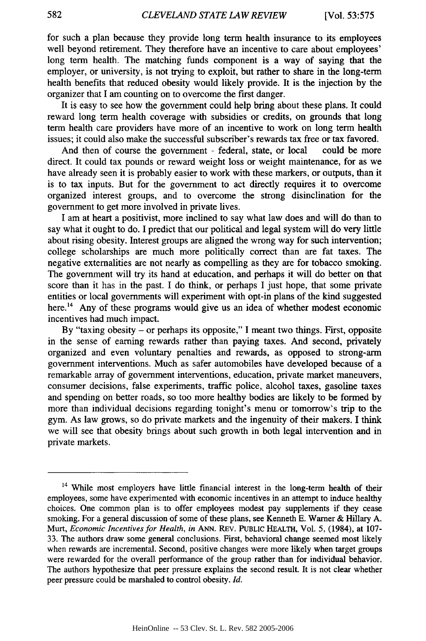for such a plan because they provide long term health insurance to its employees well beyond retirement. They therefore have an incentive to care about employees' long term health. The matching funds component is a way of saying that the employer, or university, is not trying to exploit, but rather to share in the long-term health benefits that reduced obesity would likely provide. It is the injection by the organizer that I am counting on to overcome the first danger.

It is easy to see how the government could help bring about these plans. It could reward long term health coverage with subsidies or credits, on grounds that long term health care providers have more of an incentive to work on long term health issues; it could also make the successful subscriber's rewards tax free or tax favored.

And then of course the government - federal, state, or local could be more direct. It could tax pounds or reward weight loss or weight maintenance, for as we have already seen it is probably easier to work with these markers, or outputs, than it is to tax inputs. But for the government to act directly requires it to overcome organized interest groups, and to overcome the strong disinclination for the government to get more involved in private lives.

I am at heart a positivist, more inclined to say what law does and will do than to say what it ought to do. I predict that our political and legal system will do very little about rising obesity. Interest groups are aligned the wrong way for such intervention; college scholarships are much more politically correct than are fat taxes. The negative externalities are not nearly as compelling as they are for tobacco smoking. The government will try its hand at education, and perhaps it will do better on that score than it has in the past. I do think, or perhaps I just hope, that some private entities or local governments will experiment with opt-in plans of the kind suggested here.<sup>14</sup> Any of these programs would give us an idea of whether modest economic incentives had much impact.

By "taxing obesity - or perhaps its opposite," I meant two things. First, opposite in the sense of earning rewards rather than paying taxes. And second, privately organized and even voluntary penalties and rewards, as opposed to strong-arm government interventions. Much as safer automobiles have developed because of a remarkable array of government interventions, education, private market maneuvers, consumer decisions, false experiments, traffic police, alcohol taxes, gasoline taxes and spending on better roads, so too more healthy bodies are likely to be formed by more than individual decisions regarding tonight's menu or tomorrow's trip to the gym. As law grows, so do private markets and the ingenuity of their makers. I think we will see that obesity brings about such growth in both legal intervention and in private markets.

<sup>&</sup>lt;sup>14</sup> While most employers have little financial interest in the long-term health of their employees, some have experimented with economic incentives in an attempt to induce healthy choices. One common plan is to offer employees modest pay supplements if they cease smoking. For a general discussion of some of these plans, see Kenneth E. Warner & Hillary A. Murt, *Economic Incentives for Health, in* **ANN.** REV. PUBLIC HEALTH, Vol. 5, (1984), at 107- 33. The authors draw some general conclusions. First, behavioral change seemed most likely when rewards are incremental. Second, positive changes were more likely when target groups were rewarded for the overall performance of the group rather than for individual behavior. The authors hypothesize that peer pressure explains the second result. It is not clear whether peer pressure could be marshaled to control obesity. *Id.*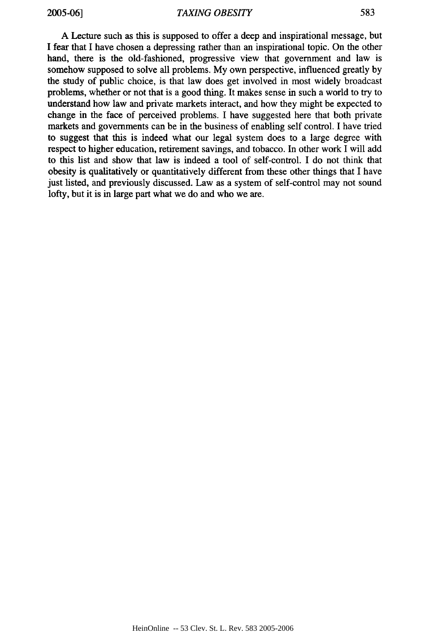A Lecture such as this is supposed to offer a deep and inspirational message, but I fear that I have chosen a depressing rather than an inspirational topic. On the other hand, there is the old-fashioned, progressive view that government and law is somehow supposed to solve all problems. My own perspective, influenced greatly by the study of public choice, is that law does get involved in most widely broadcast problems, whether or not that is a good thing. It makes sense in such a world to try to understand how law and private markets interact, and how they might be expected to change in the face of perceived problems. I have suggested here that both private markets and governments can be in the business of enabling self control. I have tried to suggest that this is indeed what our legal system does to a large degree with respect to higher education, retirement savings, and tobacco. In other work I will add to this list and show that law is indeed a tool of self-control. I do not think that obesity is qualitatively or quantitatively different from these other things that I have just listed, and previously discussed. Law as a system of self-control may not sound lofty, but it is in large part what we do and who we are.